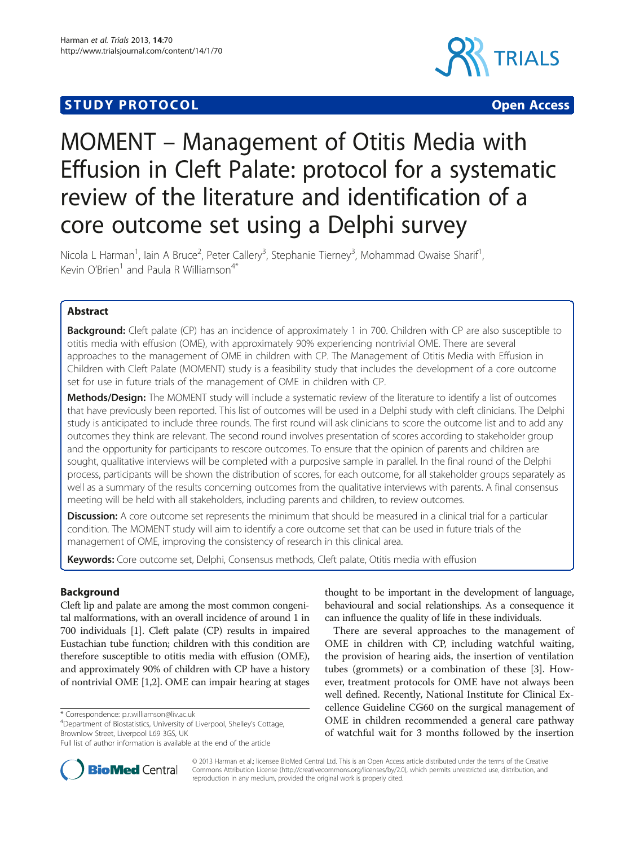# **STUDY PROTOCOL CONSUMING THE CONSUMING OPEN ACCESS**



# MOMENT – Management of Otitis Media with Effusion in Cleft Palate: protocol for a systematic review of the literature and identification of a core outcome set using a Delphi survey

Nicola L Harman<sup>1</sup>, Iain A Bruce<sup>2</sup>, Peter Callery<sup>3</sup>, Stephanie Tierney<sup>3</sup>, Mohammad Owaise Sharif<sup>1</sup> , Kevin O'Brien<sup>1</sup> and Paula R Williamson<sup>4\*</sup>

# Abstract

Background: Cleft palate (CP) has an incidence of approximately 1 in 700. Children with CP are also susceptible to otitis media with effusion (OME), with approximately 90% experiencing nontrivial OME. There are several approaches to the management of OME in children with CP. The Management of Otitis Media with Effusion in Children with Cleft Palate (MOMENT) study is a feasibility study that includes the development of a core outcome set for use in future trials of the management of OME in children with CP.

Methods/Design: The MOMENT study will include a systematic review of the literature to identify a list of outcomes that have previously been reported. This list of outcomes will be used in a Delphi study with cleft clinicians. The Delphi study is anticipated to include three rounds. The first round will ask clinicians to score the outcome list and to add any outcomes they think are relevant. The second round involves presentation of scores according to stakeholder group and the opportunity for participants to rescore outcomes. To ensure that the opinion of parents and children are sought, qualitative interviews will be completed with a purposive sample in parallel. In the final round of the Delphi process, participants will be shown the distribution of scores, for each outcome, for all stakeholder groups separately as well as a summary of the results concerning outcomes from the qualitative interviews with parents. A final consensus meeting will be held with all stakeholders, including parents and children, to review outcomes.

Discussion: A core outcome set represents the minimum that should be measured in a clinical trial for a particular condition. The MOMENT study will aim to identify a core outcome set that can be used in future trials of the management of OME, improving the consistency of research in this clinical area.

Keywords: Core outcome set, Delphi, Consensus methods, Cleft palate, Otitis media with effusion

# Background

Cleft lip and palate are among the most common congenital malformations, with an overall incidence of around 1 in 700 individuals [\[1](#page-7-0)]. Cleft palate (CP) results in impaired Eustachian tube function; children with this condition are therefore susceptible to otitis media with effusion (OME), and approximately 90% of children with CP have a history of nontrivial OME [[1,2](#page-7-0)]. OME can impair hearing at stages

\* Correspondence: [p.r.williamson@liv.ac.uk](mailto:p.r.williamson@liv.ac.uk) <sup>4</sup>

Department of Biostatistics, University of Liverpool, Shelley's Cottage, Brownlow Street, Liverpool L69 3GS, UK

thought to be important in the development of language, behavioural and social relationships. As a consequence it can influence the quality of life in these individuals.

There are several approaches to the management of OME in children with CP, including watchful waiting, the provision of hearing aids, the insertion of ventilation tubes (grommets) or a combination of these [[3\]](#page-7-0). However, treatment protocols for OME have not always been well defined. Recently, National Institute for Clinical Excellence Guideline CG60 on the surgical management of OME in children recommended a general care pathway of watchful wait for 3 months followed by the insertion



© 2013 Harman et al.; licensee BioMed Central Ltd. This is an Open Access article distributed under the terms of the Creative Commons Attribution License [\(http://creativecommons.org/licenses/by/2.0\)](http://creativecommons.org/licenses/by/2.0), which permits unrestricted use, distribution, and reproduction in any medium, provided the original work is properly cited.

Full list of author information is available at the end of the article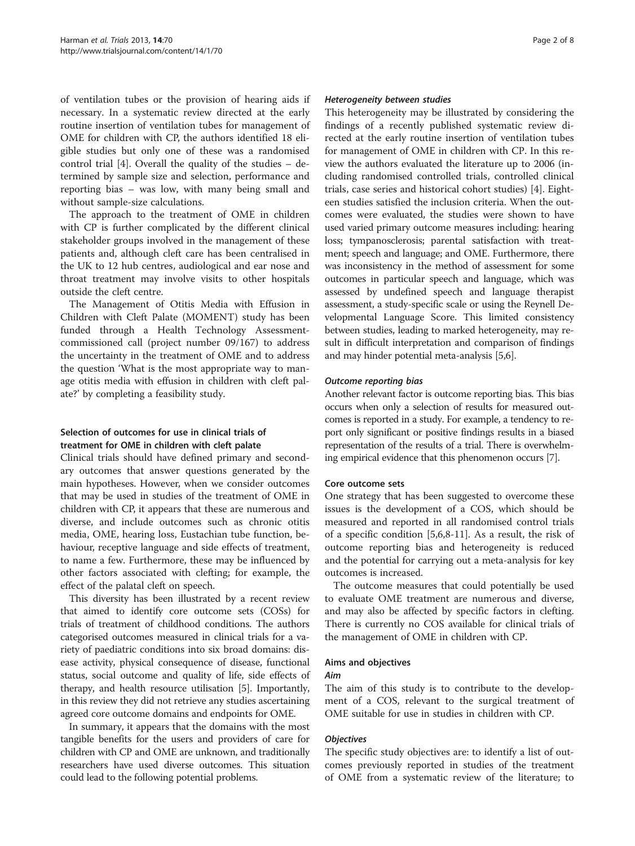of ventilation tubes or the provision of hearing aids if necessary. In a systematic review directed at the early routine insertion of ventilation tubes for management of OME for children with CP, the authors identified 18 eligible studies but only one of these was a randomised control trial [[4\]](#page-7-0). Overall the quality of the studies – determined by sample size and selection, performance and reporting bias – was low, with many being small and without sample-size calculations.

The approach to the treatment of OME in children with CP is further complicated by the different clinical stakeholder groups involved in the management of these patients and, although cleft care has been centralised in the UK to 12 hub centres, audiological and ear nose and throat treatment may involve visits to other hospitals outside the cleft centre.

The Management of Otitis Media with Effusion in Children with Cleft Palate (MOMENT) study has been funded through a Health Technology Assessmentcommissioned call (project number 09/167) to address the uncertainty in the treatment of OME and to address the question 'What is the most appropriate way to manage otitis media with effusion in children with cleft palate?' by completing a feasibility study.

# Selection of outcomes for use in clinical trials of treatment for OME in children with cleft palate

Clinical trials should have defined primary and secondary outcomes that answer questions generated by the main hypotheses. However, when we consider outcomes that may be used in studies of the treatment of OME in children with CP, it appears that these are numerous and diverse, and include outcomes such as chronic otitis media, OME, hearing loss, Eustachian tube function, behaviour, receptive language and side effects of treatment, to name a few. Furthermore, these may be influenced by other factors associated with clefting; for example, the effect of the palatal cleft on speech.

This diversity has been illustrated by a recent review that aimed to identify core outcome sets (COSs) for trials of treatment of childhood conditions. The authors categorised outcomes measured in clinical trials for a variety of paediatric conditions into six broad domains: disease activity, physical consequence of disease, functional status, social outcome and quality of life, side effects of therapy, and health resource utilisation [\[5](#page-7-0)]. Importantly, in this review they did not retrieve any studies ascertaining agreed core outcome domains and endpoints for OME.

In summary, it appears that the domains with the most tangible benefits for the users and providers of care for children with CP and OME are unknown, and traditionally researchers have used diverse outcomes. This situation could lead to the following potential problems.

#### Heterogeneity between studies

This heterogeneity may be illustrated by considering the findings of a recently published systematic review directed at the early routine insertion of ventilation tubes for management of OME in children with CP. In this review the authors evaluated the literature up to 2006 (including randomised controlled trials, controlled clinical trials, case series and historical cohort studies) [[4\]](#page-7-0). Eighteen studies satisfied the inclusion criteria. When the outcomes were evaluated, the studies were shown to have used varied primary outcome measures including: hearing loss; tympanosclerosis; parental satisfaction with treatment; speech and language; and OME. Furthermore, there was inconsistency in the method of assessment for some outcomes in particular speech and language, which was assessed by undefined speech and language therapist assessment, a study-specific scale or using the Reynell Developmental Language Score. This limited consistency between studies, leading to marked heterogeneity, may result in difficult interpretation and comparison of findings and may hinder potential meta-analysis [[5,6](#page-7-0)].

#### Outcome reporting bias

Another relevant factor is outcome reporting bias. This bias occurs when only a selection of results for measured outcomes is reported in a study. For example, a tendency to report only significant or positive findings results in a biased representation of the results of a trial. There is overwhelming empirical evidence that this phenomenon occurs [\[7](#page-7-0)].

#### Core outcome sets

One strategy that has been suggested to overcome these issues is the development of a COS, which should be measured and reported in all randomised control trials of a specific condition [[5,6,8-11](#page-7-0)]. As a result, the risk of outcome reporting bias and heterogeneity is reduced and the potential for carrying out a meta-analysis for key outcomes is increased.

The outcome measures that could potentially be used to evaluate OME treatment are numerous and diverse, and may also be affected by specific factors in clefting. There is currently no COS available for clinical trials of the management of OME in children with CP.

#### Aims and objectives

#### Aim

The aim of this study is to contribute to the development of a COS, relevant to the surgical treatment of OME suitable for use in studies in children with CP.

#### **Objectives**

The specific study objectives are: to identify a list of outcomes previously reported in studies of the treatment of OME from a systematic review of the literature; to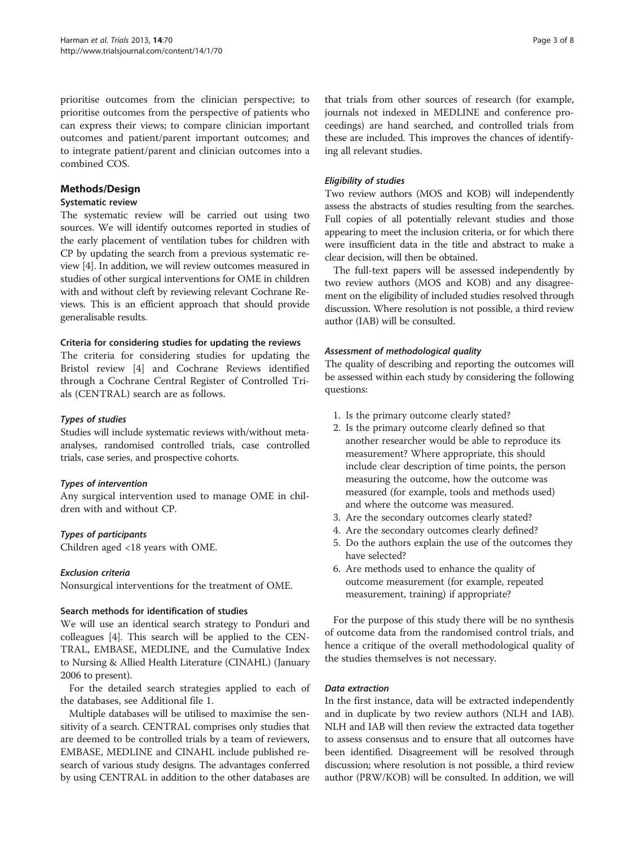prioritise outcomes from the clinician perspective; to prioritise outcomes from the perspective of patients who can express their views; to compare clinician important outcomes and patient/parent important outcomes; and to integrate patient/parent and clinician outcomes into a combined COS.

# Methods/Design

## Systematic review

The systematic review will be carried out using two sources. We will identify outcomes reported in studies of the early placement of ventilation tubes for children with CP by updating the search from a previous systematic review [\[4](#page-7-0)]. In addition, we will review outcomes measured in studies of other surgical interventions for OME in children with and without cleft by reviewing relevant Cochrane Reviews. This is an efficient approach that should provide generalisable results.

# Criteria for considering studies for updating the reviews

The criteria for considering studies for updating the Bristol review [[4\]](#page-7-0) and Cochrane Reviews identified through a Cochrane Central Register of Controlled Trials (CENTRAL) search are as follows.

# Types of studies

Studies will include systematic reviews with/without metaanalyses, randomised controlled trials, case controlled trials, case series, and prospective cohorts.

# Types of intervention

Any surgical intervention used to manage OME in children with and without CP.

# Types of participants

Children aged <18 years with OME.

# Exclusion criteria

Nonsurgical interventions for the treatment of OME.

#### Search methods for identification of studies

We will use an identical search strategy to Ponduri and colleagues [\[4\]](#page-7-0). This search will be applied to the CEN-TRAL, EMBASE, MEDLINE, and the Cumulative Index to Nursing & Allied Health Literature (CINAHL) (January 2006 to present).

For the detailed search strategies applied to each of the databases, see Additional file [1](#page-7-0).

Multiple databases will be utilised to maximise the sensitivity of a search. CENTRAL comprises only studies that are deemed to be controlled trials by a team of reviewers, EMBASE, MEDLINE and CINAHL include published research of various study designs. The advantages conferred by using CENTRAL in addition to the other databases are

that trials from other sources of research (for example, journals not indexed in MEDLINE and conference proceedings) are hand searched, and controlled trials from these are included. This improves the chances of identifying all relevant studies.

## Eligibility of studies

Two review authors (MOS and KOB) will independently assess the abstracts of studies resulting from the searches. Full copies of all potentially relevant studies and those appearing to meet the inclusion criteria, or for which there were insufficient data in the title and abstract to make a clear decision, will then be obtained.

The full-text papers will be assessed independently by two review authors (MOS and KOB) and any disagreement on the eligibility of included studies resolved through discussion. Where resolution is not possible, a third review author (IAB) will be consulted.

#### Assessment of methodological quality

The quality of describing and reporting the outcomes will be assessed within each study by considering the following questions:

- 1. Is the primary outcome clearly stated?
- 2. Is the primary outcome clearly defined so that another researcher would be able to reproduce its measurement? Where appropriate, this should include clear description of time points, the person measuring the outcome, how the outcome was measured (for example, tools and methods used) and where the outcome was measured.
- 3. Are the secondary outcomes clearly stated?
- 4. Are the secondary outcomes clearly defined?
- 5. Do the authors explain the use of the outcomes they have selected?
- 6. Are methods used to enhance the quality of outcome measurement (for example, repeated measurement, training) if appropriate?

For the purpose of this study there will be no synthesis of outcome data from the randomised control trials, and hence a critique of the overall methodological quality of the studies themselves is not necessary.

#### Data extraction

In the first instance, data will be extracted independently and in duplicate by two review authors (NLH and IAB). NLH and IAB will then review the extracted data together to assess consensus and to ensure that all outcomes have been identified. Disagreement will be resolved through discussion; where resolution is not possible, a third review author (PRW/KOB) will be consulted. In addition, we will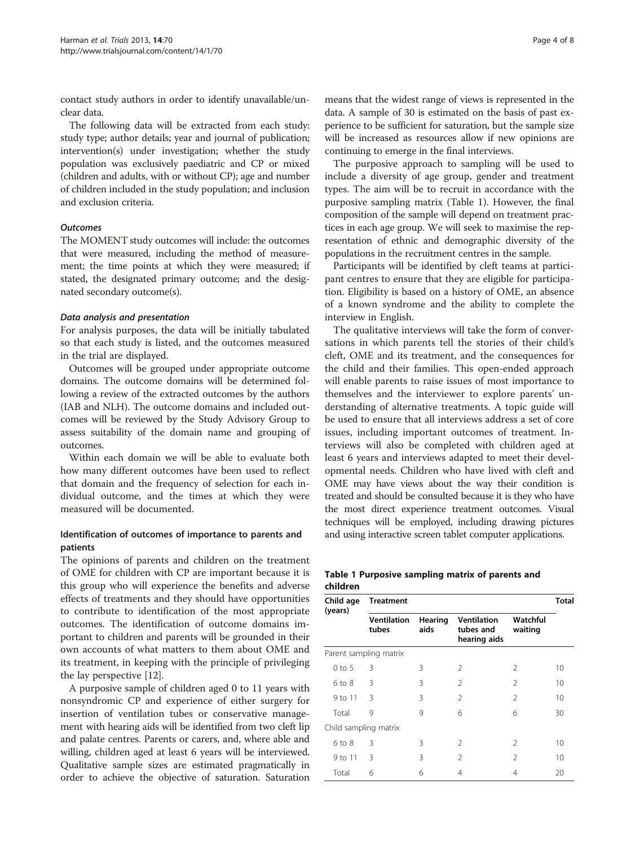contact study authors in order to identify unavailable/unclear data.

The following data will be extracted from each study: study type; author details; year and journal of publication; intervention(s) under investigation; whether the study population was exclusively paediatric and CP or mixed (children and adults, with or without CP); age and number of children included in the study population; and inclusion and exclusion criteria.

#### **Outcomes**

The MOMENT study outcomes will include: the outcomes that were measured, including the method of measurement; the time points at which they were measured; if stated, the designated primary outcome; and the designated secondary outcome(s).

#### Data analysis and presentation

For analysis purposes, the data will be initially tabulated so that each study is listed, and the outcomes measured in the trial are displayed.

Outcomes will be grouped under appropriate outcome domains. The outcome domains will be determined following a review of the extracted outcomes by the authors (IAB and NLH). The outcome domains and included outcomes will be reviewed by the Study Advisory Group to assess suitability of the domain name and grouping of outcomes.

Within each domain we will be able to evaluate both how many different outcomes have been used to reflect that domain and the frequency of selection for each individual outcome, and the times at which they were measured will be documented.

# Identification of outcomes of importance to parents and patients

The opinions of parents and children on the treatment of OME for children with CP are important because it is this group who will experience the benefits and adverse effects of treatments and they should have opportunities to contribute to identification of the most appropriate outcomes. The identification of outcome domains important to children and parents will be grounded in their own accounts of what matters to them about OME and its treatment, in keeping with the principle of privileging the lay perspective [[12\]](#page-7-0).

A purposive sample of children aged 0 to 11 years with nonsyndromic CP and experience of either surgery for insertion of ventilation tubes or conservative management with hearing aids will be identified from two cleft lip and palate centres. Parents or carers, and, where able and willing, children aged at least 6 years will be interviewed. Qualitative sample sizes are estimated pragmatically in order to achieve the objective of saturation. Saturation

means that the widest range of views is represented in the data. A sample of 30 is estimated on the basis of past experience to be sufficient for saturation, but the sample size will be increased as resources allow if new opinions are continuing to emerge in the final interviews.

The purposive approach to sampling will be used to include a diversity of age group, gender and treatment types. The aim will be to recruit in accordance with the purposive sampling matrix (Table 1). However, the final composition of the sample will depend on treatment practices in each age group. We will seek to maximise the representation of ethnic and demographic diversity of the populations in the recruitment centres in the sample.

Participants will be identified by cleft teams at participant centres to ensure that they are eligible for participation. Eligibility is based on a history of OME, an absence of a known syndrome and the ability to complete the interview in English.

The qualitative interviews will take the form of conversations in which parents tell the stories of their child's cleft, OME and its treatment, and the consequences for the child and their families. This open-ended approach will enable parents to raise issues of most importance to themselves and the interviewer to explore parents' understanding of alternative treatments. A topic guide will be used to ensure that all interviews address a set of core issues, including important outcomes of treatment. Interviews will also be completed with children aged at least 6 years and interviews adapted to meet their developmental needs. Children who have lived with cleft and OME may have views about the way their condition is treated and should be consulted because it is they who have the most direct experience treatment outcomes. Visual techniques will be employed, including drawing pictures and using interactive screen tablet computer applications.

|          | Table 1 Purposive sampling matrix of parents and |  |  |  |
|----------|--------------------------------------------------|--|--|--|
| children |                                                  |  |  |  |

| Child age<br>(years)  | <b>Treatment</b>       |                 |                                                 |                     |    |
|-----------------------|------------------------|-----------------|-------------------------------------------------|---------------------|----|
|                       | Ventilation<br>tubes   | Hearing<br>aids | <b>Ventilation</b><br>tubes and<br>hearing aids | Watchful<br>waiting |    |
|                       | Parent sampling matrix |                 |                                                 |                     |    |
| $0$ to 5              | 3                      | 3               | 2                                               | 2                   | 10 |
| $6$ to $8$            | 3                      | 3               | $\mathcal{P}$                                   | $\mathfrak{D}$      | 10 |
| 9 to 11               | 3                      | 3               | $\mathcal{P}$                                   | $\mathfrak{D}$      | 10 |
| Total                 | 9                      | 9               | 6                                               | 6                   | 30 |
| Child sampling matrix |                        |                 |                                                 |                     |    |
| $6$ to $8$            | 3                      | 3               | $\mathcal{P}$                                   | $\mathcal{P}$       | 10 |
| 9 to 11               | 3                      | 3               | $\mathfrak{D}$                                  | $\mathfrak{D}$      | 10 |
| Total                 | 6                      | 6               | 4                                               | 4                   | 20 |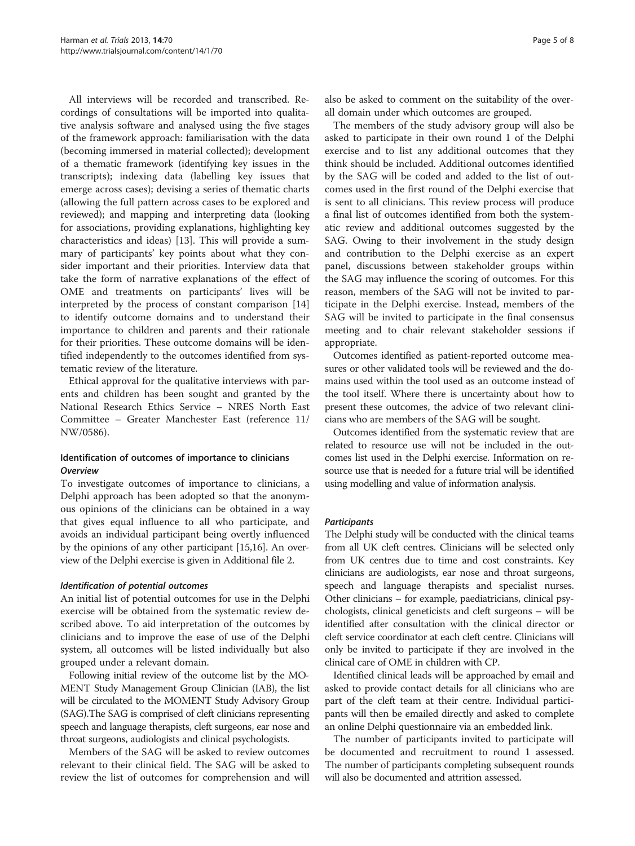All interviews will be recorded and transcribed. Recordings of consultations will be imported into qualitative analysis software and analysed using the five stages of the framework approach: familiarisation with the data (becoming immersed in material collected); development of a thematic framework (identifying key issues in the transcripts); indexing data (labelling key issues that emerge across cases); devising a series of thematic charts (allowing the full pattern across cases to be explored and reviewed); and mapping and interpreting data (looking for associations, providing explanations, highlighting key characteristics and ideas) [[13\]](#page-7-0). This will provide a summary of participants' key points about what they consider important and their priorities. Interview data that take the form of narrative explanations of the effect of OME and treatments on participants' lives will be interpreted by the process of constant comparison [[14](#page-7-0)] to identify outcome domains and to understand their importance to children and parents and their rationale for their priorities. These outcome domains will be identified independently to the outcomes identified from systematic review of the literature.

Ethical approval for the qualitative interviews with parents and children has been sought and granted by the National Research Ethics Service – NRES North East Committee – Greater Manchester East (reference 11/ NW/0586).

# Identification of outcomes of importance to clinicians **Overview**

To investigate outcomes of importance to clinicians, a Delphi approach has been adopted so that the anonymous opinions of the clinicians can be obtained in a way that gives equal influence to all who participate, and avoids an individual participant being overtly influenced by the opinions of any other participant [[15,16](#page-7-0)]. An overview of the Delphi exercise is given in Additional file [2](#page-7-0).

#### Identification of potential outcomes

An initial list of potential outcomes for use in the Delphi exercise will be obtained from the systematic review described above. To aid interpretation of the outcomes by clinicians and to improve the ease of use of the Delphi system, all outcomes will be listed individually but also grouped under a relevant domain.

Following initial review of the outcome list by the MO-MENT Study Management Group Clinician (IAB), the list will be circulated to the MOMENT Study Advisory Group (SAG).The SAG is comprised of cleft clinicians representing speech and language therapists, cleft surgeons, ear nose and throat surgeons, audiologists and clinical psychologists.

Members of the SAG will be asked to review outcomes relevant to their clinical field. The SAG will be asked to review the list of outcomes for comprehension and will

also be asked to comment on the suitability of the overall domain under which outcomes are grouped.

The members of the study advisory group will also be asked to participate in their own round 1 of the Delphi exercise and to list any additional outcomes that they think should be included. Additional outcomes identified by the SAG will be coded and added to the list of outcomes used in the first round of the Delphi exercise that is sent to all clinicians. This review process will produce a final list of outcomes identified from both the systematic review and additional outcomes suggested by the SAG. Owing to their involvement in the study design and contribution to the Delphi exercise as an expert panel, discussions between stakeholder groups within the SAG may influence the scoring of outcomes. For this reason, members of the SAG will not be invited to participate in the Delphi exercise. Instead, members of the SAG will be invited to participate in the final consensus meeting and to chair relevant stakeholder sessions if appropriate.

Outcomes identified as patient-reported outcome measures or other validated tools will be reviewed and the domains used within the tool used as an outcome instead of the tool itself. Where there is uncertainty about how to present these outcomes, the advice of two relevant clinicians who are members of the SAG will be sought.

Outcomes identified from the systematic review that are related to resource use will not be included in the outcomes list used in the Delphi exercise. Information on resource use that is needed for a future trial will be identified using modelling and value of information analysis.

# **Participants**

The Delphi study will be conducted with the clinical teams from all UK cleft centres. Clinicians will be selected only from UK centres due to time and cost constraints. Key clinicians are audiologists, ear nose and throat surgeons, speech and language therapists and specialist nurses. Other clinicians – for example, paediatricians, clinical psychologists, clinical geneticists and cleft surgeons – will be identified after consultation with the clinical director or cleft service coordinator at each cleft centre. Clinicians will only be invited to participate if they are involved in the clinical care of OME in children with CP.

Identified clinical leads will be approached by email and asked to provide contact details for all clinicians who are part of the cleft team at their centre. Individual participants will then be emailed directly and asked to complete an online Delphi questionnaire via an embedded link.

The number of participants invited to participate will be documented and recruitment to round 1 assessed. The number of participants completing subsequent rounds will also be documented and attrition assessed.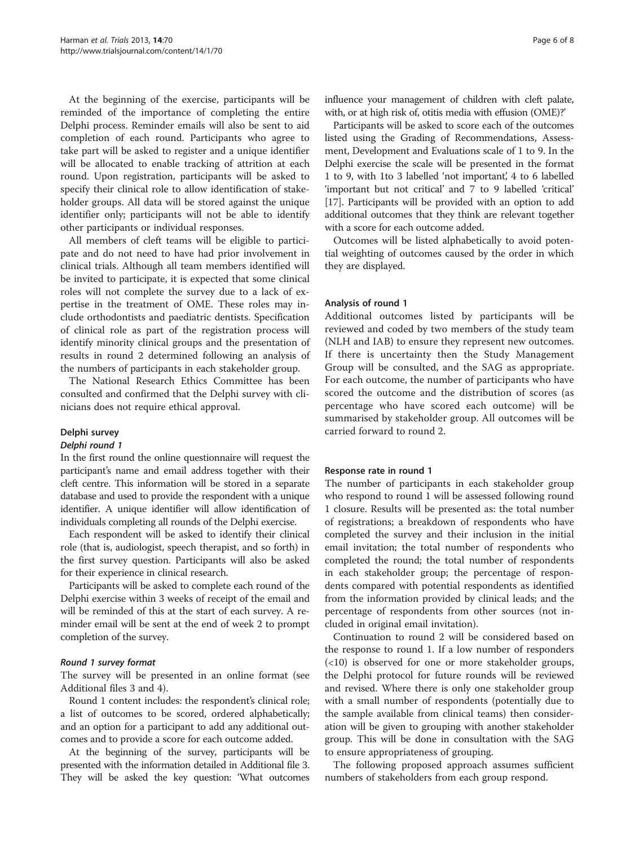At the beginning of the exercise, participants will be reminded of the importance of completing the entire Delphi process. Reminder emails will also be sent to aid completion of each round. Participants who agree to take part will be asked to register and a unique identifier will be allocated to enable tracking of attrition at each round. Upon registration, participants will be asked to specify their clinical role to allow identification of stakeholder groups. All data will be stored against the unique identifier only; participants will not be able to identify other participants or individual responses.

All members of cleft teams will be eligible to participate and do not need to have had prior involvement in clinical trials. Although all team members identified will be invited to participate, it is expected that some clinical roles will not complete the survey due to a lack of expertise in the treatment of OME. These roles may include orthodontists and paediatric dentists. Specification of clinical role as part of the registration process will identify minority clinical groups and the presentation of results in round 2 determined following an analysis of the numbers of participants in each stakeholder group.

The National Research Ethics Committee has been consulted and confirmed that the Delphi survey with clinicians does not require ethical approval.

#### Delphi survey

#### Delphi round 1

In the first round the online questionnaire will request the participant's name and email address together with their cleft centre. This information will be stored in a separate database and used to provide the respondent with a unique identifier. A unique identifier will allow identification of individuals completing all rounds of the Delphi exercise.

Each respondent will be asked to identify their clinical role (that is, audiologist, speech therapist, and so forth) in the first survey question. Participants will also be asked for their experience in clinical research.

Participants will be asked to complete each round of the Delphi exercise within 3 weeks of receipt of the email and will be reminded of this at the start of each survey. A reminder email will be sent at the end of week 2 to prompt completion of the survey.

#### Round 1 survey format

The survey will be presented in an online format (see Additional files [3](#page-7-0) and [4\)](#page-7-0).

Round 1 content includes: the respondent's clinical role; a list of outcomes to be scored, ordered alphabetically; and an option for a participant to add any additional outcomes and to provide a score for each outcome added.

At the beginning of the survey, participants will be presented with the information detailed in Additional file [3](#page-7-0). They will be asked the key question: 'What outcomes influence your management of children with cleft palate, with, or at high risk of, otitis media with effusion (OME)?'

Participants will be asked to score each of the outcomes listed using the Grading of Recommendations, Assessment, Development and Evaluations scale of 1 to 9. In the Delphi exercise the scale will be presented in the format 1 to 9, with 1to 3 labelled 'not important', 4 to 6 labelled 'important but not critical' and 7 to 9 labelled 'critical' [[17](#page-7-0)]. Participants will be provided with an option to add additional outcomes that they think are relevant together with a score for each outcome added.

Outcomes will be listed alphabetically to avoid potential weighting of outcomes caused by the order in which they are displayed.

#### Analysis of round 1

Additional outcomes listed by participants will be reviewed and coded by two members of the study team (NLH and IAB) to ensure they represent new outcomes. If there is uncertainty then the Study Management Group will be consulted, and the SAG as appropriate. For each outcome, the number of participants who have scored the outcome and the distribution of scores (as percentage who have scored each outcome) will be summarised by stakeholder group. All outcomes will be carried forward to round 2.

#### Response rate in round 1

The number of participants in each stakeholder group who respond to round 1 will be assessed following round 1 closure. Results will be presented as: the total number of registrations; a breakdown of respondents who have completed the survey and their inclusion in the initial email invitation; the total number of respondents who completed the round; the total number of respondents in each stakeholder group; the percentage of respondents compared with potential respondents as identified from the information provided by clinical leads; and the percentage of respondents from other sources (not included in original email invitation).

Continuation to round 2 will be considered based on the response to round 1. If a low number of responders (<10) is observed for one or more stakeholder groups, the Delphi protocol for future rounds will be reviewed and revised. Where there is only one stakeholder group with a small number of respondents (potentially due to the sample available from clinical teams) then consideration will be given to grouping with another stakeholder group. This will be done in consultation with the SAG to ensure appropriateness of grouping.

The following proposed approach assumes sufficient numbers of stakeholders from each group respond.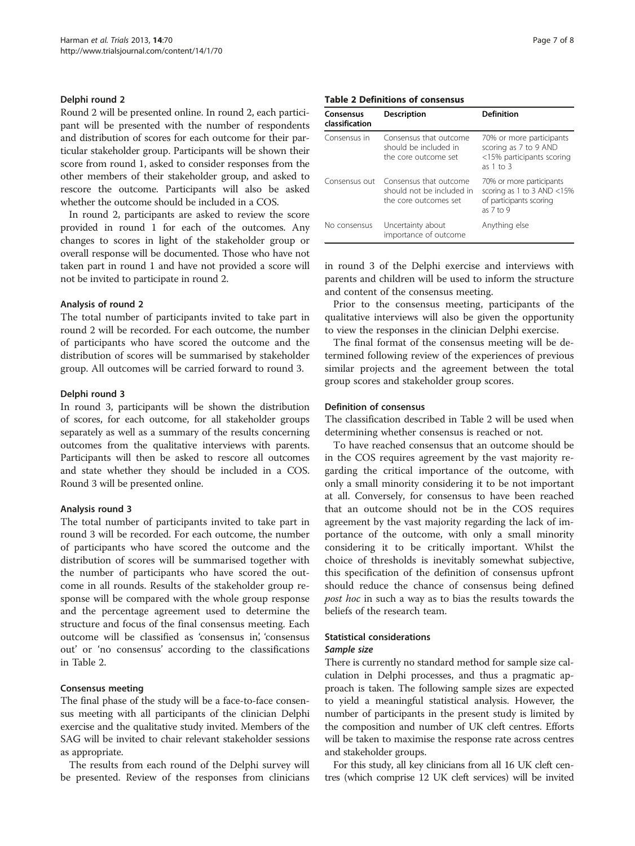#### Delphi round 2

Round 2 will be presented online. In round 2, each participant will be presented with the number of respondents and distribution of scores for each outcome for their particular stakeholder group. Participants will be shown their score from round 1, asked to consider responses from the other members of their stakeholder group, and asked to rescore the outcome. Participants will also be asked whether the outcome should be included in a COS.

In round 2, participants are asked to review the score provided in round 1 for each of the outcomes. Any changes to scores in light of the stakeholder group or overall response will be documented. Those who have not taken part in round 1 and have not provided a score will not be invited to participate in round 2.

#### Analysis of round 2

The total number of participants invited to take part in round 2 will be recorded. For each outcome, the number of participants who have scored the outcome and the distribution of scores will be summarised by stakeholder group. All outcomes will be carried forward to round 3.

#### Delphi round 3

In round 3, participants will be shown the distribution of scores, for each outcome, for all stakeholder groups separately as well as a summary of the results concerning outcomes from the qualitative interviews with parents. Participants will then be asked to rescore all outcomes and state whether they should be included in a COS. Round 3 will be presented online.

# Analysis round 3

The total number of participants invited to take part in round 3 will be recorded. For each outcome, the number of participants who have scored the outcome and the distribution of scores will be summarised together with the number of participants who have scored the outcome in all rounds. Results of the stakeholder group response will be compared with the whole group response and the percentage agreement used to determine the structure and focus of the final consensus meeting. Each outcome will be classified as 'consensus in', 'consensus out' or 'no consensus' according to the classifications in Table 2.

# Consensus meeting

The final phase of the study will be a face-to-face consensus meeting with all participants of the clinician Delphi exercise and the qualitative study invited. Members of the SAG will be invited to chair relevant stakeholder sessions as appropriate.

The results from each round of the Delphi survey will be presented. Review of the responses from clinicians

# Table 2 Definitions of consensus

| Consensus<br>classification | <b>Description</b>                                                           | <b>Definition</b>                                                                               |
|-----------------------------|------------------------------------------------------------------------------|-------------------------------------------------------------------------------------------------|
| Consensus in                | Consensus that outcome<br>should be included in<br>the core outcome set      | 70% or more participants<br>scoring as 7 to 9 AND<br><15% participants scoring<br>as $1$ to $3$ |
| Consensus out               | Consensus that outcome<br>should not be included in<br>the core outcomes set | 70% or more participants<br>scoring as 1 to 3 AND <15%<br>of participants scoring<br>as 7 to 9  |
| No consensus                | Uncertainty about<br>importance of outcome                                   | Anything else                                                                                   |

in round 3 of the Delphi exercise and interviews with parents and children will be used to inform the structure and content of the consensus meeting.

Prior to the consensus meeting, participants of the qualitative interviews will also be given the opportunity to view the responses in the clinician Delphi exercise.

The final format of the consensus meeting will be determined following review of the experiences of previous similar projects and the agreement between the total group scores and stakeholder group scores.

#### Definition of consensus

The classification described in Table 2 will be used when determining whether consensus is reached or not.

To have reached consensus that an outcome should be in the COS requires agreement by the vast majority regarding the critical importance of the outcome, with only a small minority considering it to be not important at all. Conversely, for consensus to have been reached that an outcome should not be in the COS requires agreement by the vast majority regarding the lack of importance of the outcome, with only a small minority considering it to be critically important. Whilst the choice of thresholds is inevitably somewhat subjective, this specification of the definition of consensus upfront should reduce the chance of consensus being defined post hoc in such a way as to bias the results towards the beliefs of the research team.

# Statistical considerations

#### Sample size

There is currently no standard method for sample size calculation in Delphi processes, and thus a pragmatic approach is taken. The following sample sizes are expected to yield a meaningful statistical analysis. However, the number of participants in the present study is limited by the composition and number of UK cleft centres. Efforts will be taken to maximise the response rate across centres and stakeholder groups.

For this study, all key clinicians from all 16 UK cleft centres (which comprise 12 UK cleft services) will be invited